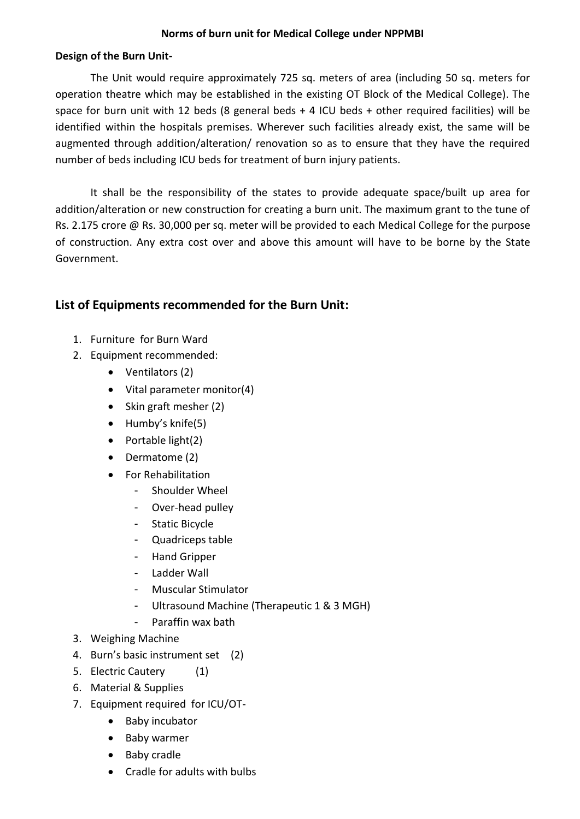## **Norms of burn unit for Medical College under NPPMBI**

## **Design of the Burn Unit-**

The Unit would require approximately 725 sq. meters of area (including 50 sq. meters for operation theatre which may be established in the existing OT Block of the Medical College). The space for burn unit with 12 beds (8 general beds + 4 ICU beds + other required facilities) will be identified within the hospitals premises. Wherever such facilities already exist, the same will be augmented through addition/alteration/ renovation so as to ensure that they have the required number of beds including ICU beds for treatment of burn injury patients.

It shall be the responsibility of the states to provide adequate space/built up area for addition/alteration or new construction for creating a burn unit. The maximum grant to the tune of Rs. 2.175 crore @ Rs. 30,000 per sq. meter will be provided to each Medical College for the purpose of construction. Any extra cost over and above this amount will have to be borne by the State Government.

## **List of Equipments recommended for the Burn Unit:**

- 1. Furniture for Burn Ward
- 2. Equipment recommended:
	- Ventilators (2)
	- Vital parameter monitor(4)
	- Skin graft mesher (2)
	- $\bullet$  Humby's knife(5)
	- $\bullet$  Portable light(2)
	- Dermatome (2)
	- For Rehabilitation
		- Shoulder Wheel
		- Over-head pulley
		- Static Bicycle
		- Quadriceps table
		- Hand Gripper
		- Ladder Wall
		- Muscular Stimulator
		- Ultrasound Machine (Therapeutic 1 & 3 MGH)
		- Paraffin wax bath
- 3. Weighing Machine
- 4. Burn's basic instrument set (2)
- 5. Electric Cautery (1)
- 6. Material & Supplies
- 7. Equipment required for ICU/OT-
	- Baby incubator
	- Baby warmer
	- Baby cradle
	- Cradle for adults with bulbs